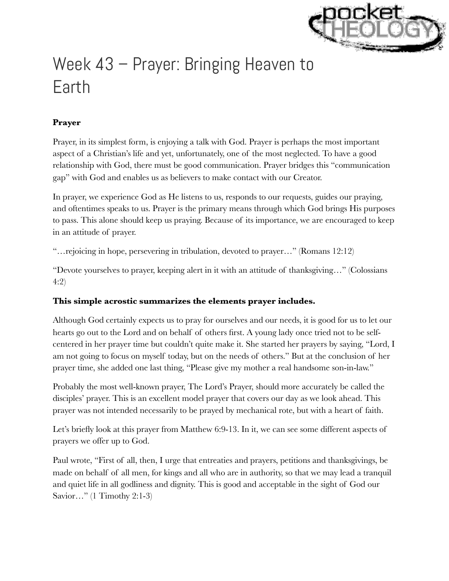

# Week 43 – Prayer: Bringing Heaven to Earth

## **Prayer**

Prayer, in its simplest form, is enjoying a talk with God. Prayer is perhaps the most important aspect of a Christian's life and yet, unfortunately, one of the most neglected. To have a good relationship with God, there must be good communication. Prayer bridges this "communication gap" with God and enables us as believers to make contact with our Creator.

In prayer, we experience God as He listens to us, responds to our requests, guides our praying, and oftentimes speaks to us. Prayer is the primary means through which God brings His purposes to pass. This alone should keep us praying. Because of its importance, we are encouraged to keep in an attitude of prayer.

"…rejoicing in hope, persevering in tribulation, devoted to prayer…" (Romans 12:12)

"Devote yourselves to prayer, keeping alert in it with an attitude of thanksgiving…" (Colossians 4:2)

### **This simple acrostic summarizes the elements prayer includes.**

Although God certainly expects us to pray for ourselves and our needs, it is good for us to let our hearts go out to the Lord and on behalf of others first. A young lady once tried not to be selfcentered in her prayer time but couldn't quite make it. She started her prayers by saying, "Lord, I am not going to focus on myself today, but on the needs of others." But at the conclusion of her prayer time, she added one last thing, "Please give my mother a real handsome son-in-law."

Probably the most well-known prayer, The Lord's Prayer, should more accurately be called the disciples' prayer. This is an excellent model prayer that covers our day as we look ahead. This prayer was not intended necessarily to be prayed by mechanical rote, but with a heart of faith.

Let's briefly look at this prayer from Matthew 6:9-13. In it, we can see some different aspects of prayers we offer up to God.

Paul wrote, "First of all, then, I urge that entreaties and prayers, petitions and thanksgivings, be made on behalf of all men, for kings and all who are in authority, so that we may lead a tranquil and quiet life in all godliness and dignity. This is good and acceptable in the sight of God our Savior…" (1 Timothy 2:1-3)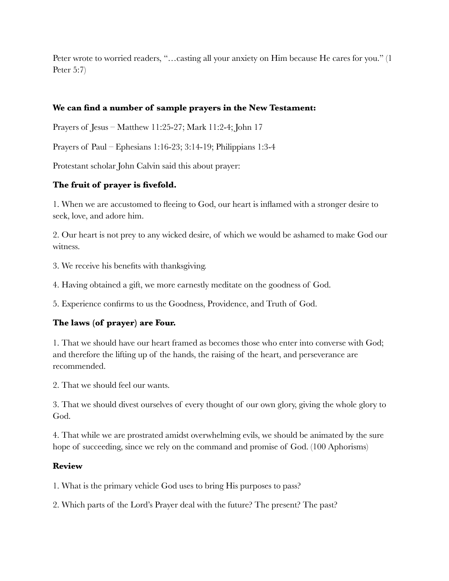Peter wrote to worried readers, "…casting all your anxiety on Him because He cares for you." (1 Peter 5:7)

### **We can find a number of sample prayers in the New Testament:**

Prayers of Jesus – Matthew 11:25-27; Mark 11:2-4; John 17

Prayers of Paul – Ephesians 1:16-23; 3:14-19; Philippians 1:3-4

Protestant scholar John Calvin said this about prayer:

### **The fruit of prayer is fivefold.**

1. When we are accustomed to fleeing to God, our heart is inflamed with a stronger desire to seek, love, and adore him.

2. Our heart is not prey to any wicked desire, of which we would be ashamed to make God our witness.

3. We receive his benefits with thanksgiving.

4. Having obtained a gift, we more earnestly meditate on the goodness of God.

5. Experience confirms to us the Goodness, Providence, and Truth of God.

### **The laws (of prayer) are Four.**

1. That we should have our heart framed as becomes those who enter into converse with God; and therefore the lifting up of the hands, the raising of the heart, and perseverance are recommended.

2. That we should feel our wants.

3. That we should divest ourselves of every thought of our own glory, giving the whole glory to God.

4. That while we are prostrated amidst overwhelming evils, we should be animated by the sure hope of succeeding, since we rely on the command and promise of God. (100 Aphorisms)

#### **Review**

1. What is the primary vehicle God uses to bring His purposes to pass?

2. Which parts of the Lord's Prayer deal with the future? The present? The past?